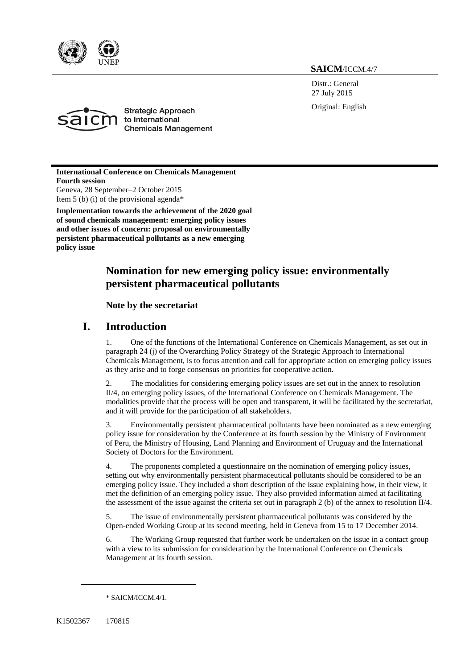

**SAICM**/ICCM.4/7

Distr.: General 27 July 2015

Original: English



**Strategic Approach** to International **Chemicals Management** 

**International Conference on Chemicals Management Fourth session** Geneva, 28 September–2 October 2015 Item 5 (b) (i) of the provisional agenda\*

**Implementation towards the achievement of the 2020 goal of sound chemicals management: emerging policy issues and other issues of concern: proposal on environmentally persistent pharmaceutical pollutants as a new emerging policy issue**

## **Nomination for new emerging policy issue: environmentally persistent pharmaceutical pollutants**

### **Note by the secretariat**

### **I. Introduction**

1. One of the functions of the International Conference on Chemicals Management, as set out in paragraph 24 (j) of the Overarching Policy Strategy of the Strategic Approach to International Chemicals Management, is to focus attention and call for appropriate action on emerging policy issues as they arise and to forge consensus on priorities for cooperative action.

2. The modalities for considering emerging policy issues are set out in the annex to resolution II/4, on emerging policy issues, of the International Conference on Chemicals Management. The modalities provide that the process will be open and transparent, it will be facilitated by the secretariat, and it will provide for the participation of all stakeholders.

3. Environmentally persistent pharmaceutical pollutants have been nominated as a new emerging policy issue for consideration by the Conference at its fourth session by the Ministry of Environment of Peru, the Ministry of Housing, Land Planning and Environment of Uruguay and the International Society of Doctors for the Environment.

4. The proponents completed a questionnaire on the nomination of emerging policy issues, setting out why environmentally persistent pharmaceutical pollutants should be considered to be an emerging policy issue. They included a short description of the issue explaining how, in their view, it met the definition of an emerging policy issue. They also provided information aimed at facilitating the assessment of the issue against the criteria set out in paragraph 2 (b) of the annex to resolution  $\rm II/4$ .

5. The issue of environmentally persistent pharmaceutical pollutants was considered by the Open-ended Working Group at its second meeting, held in Geneva from 15 to 17 December 2014.

6. The Working Group requested that further work be undertaken on the issue in a contact group with a view to its submission for consideration by the International Conference on Chemicals Management at its fourth session.

\* SAICM/ICCM.4/1.

 $\overline{a}$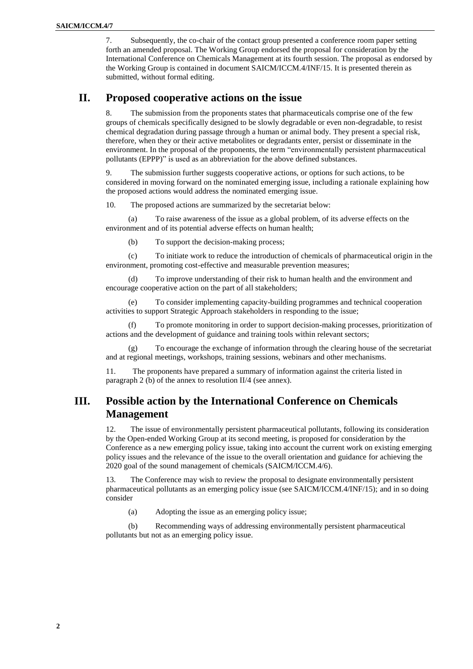7. Subsequently, the co-chair of the contact group presented a conference room paper setting forth an amended proposal. The Working Group endorsed the proposal for consideration by the International Conference on Chemicals Management at its fourth session. The proposal as endorsed by the Working Group is contained in document SAICM/ICCM.4/INF/15. It is presented therein as submitted, without formal editing.

### **II. Proposed cooperative actions on the issue**

8. The submission from the proponents states that pharmaceuticals comprise one of the few groups of chemicals specifically designed to be slowly degradable or even non-degradable, to resist chemical degradation during passage through a human or animal body. They present a special risk, therefore, when they or their active metabolites or degradants enter, persist or disseminate in the environment. In the proposal of the proponents, the term "environmentally persistent pharmaceutical pollutants (EPPP)" is used as an abbreviation for the above defined substances.

9. The submission further suggests cooperative actions, or options for such actions, to be considered in moving forward on the nominated emerging issue, including a rationale explaining how the proposed actions would address the nominated emerging issue.

10. The proposed actions are summarized by the secretariat below:

(a) To raise awareness of the issue as a global problem, of its adverse effects on the environment and of its potential adverse effects on human health;

(b) To support the decision-making process;

(c) To initiate work to reduce the introduction of chemicals of pharmaceutical origin in the environment, promoting cost-effective and measurable prevention measures;

(d) To improve understanding of their risk to human health and the environment and encourage cooperative action on the part of all stakeholders;

(e) To consider implementing capacity-building programmes and technical cooperation activities to support Strategic Approach stakeholders in responding to the issue;

(f) To promote monitoring in order to support decision-making processes, prioritization of actions and the development of guidance and training tools within relevant sectors;

(g) To encourage the exchange of information through the clearing house of the secretariat and at regional meetings, workshops, training sessions, webinars and other mechanisms.

11. The proponents have prepared a summary of information against the criteria listed in paragraph 2 (b) of the annex to resolution II/4 (see annex).

# **III. Possible action by the International Conference on Chemicals Management**

12. The issue of environmentally persistent pharmaceutical pollutants, following its consideration by the Open-ended Working Group at its second meeting, is proposed for consideration by the Conference as a new emerging policy issue, taking into account the current work on existing emerging policy issues and the relevance of the issue to the overall orientation and guidance for achieving the 2020 goal of the sound management of chemicals (SAICM/ICCM.4/6).

13. The Conference may wish to review the proposal to designate environmentally persistent pharmaceutical pollutants as an emerging policy issue (see SAICM/ICCM.4/INF/15); and in so doing consider

(a) Adopting the issue as an emerging policy issue;

(b) Recommending ways of addressing environmentally persistent pharmaceutical pollutants but not as an emerging policy issue.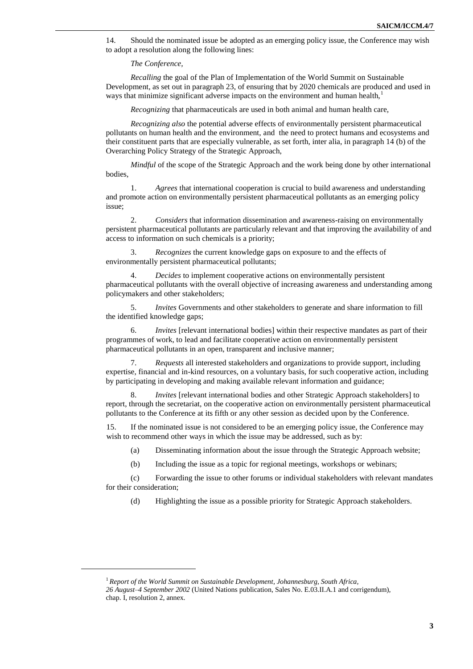14. Should the nominated issue be adopted as an emerging policy issue, the Conference may wish to adopt a resolution along the following lines:

*The Conference,*

*Recalling* the goal of the Plan of Implementation of the World Summit on Sustainable Development, as set out in paragraph 23, of ensuring that by 2020 chemicals are produced and used in ways that minimize significant adverse impacts on the environment and human health, $\frac{1}{1}$ 

*Recognizing* that pharmaceuticals are used in both animal and human health care,

*Recognizing also* the potential adverse effects of environmentally persistent pharmaceutical pollutants on human health and the environment, and the need to protect humans and ecosystems and their constituent parts that are especially vulnerable, as set forth, inter alia, in paragraph 14 (b) of the Overarching Policy Strategy of the Strategic Approach,

*Mindful* of the scope of the Strategic Approach and the work being done by other international bodies,

1. *Agrees* that international cooperation is crucial to build awareness and understanding and promote action on environmentally persistent pharmaceutical pollutants as an emerging policy issue;

2. *Considers* that information dissemination and awareness-raising on environmentally persistent pharmaceutical pollutants are particularly relevant and that improving the availability of and access to information on such chemicals is a priority;

3. *Recognizes* the current knowledge gaps on exposure to and the effects of environmentally persistent pharmaceutical pollutants;

4. *Decides* to implement cooperative actions on environmentally persistent pharmaceutical pollutants with the overall objective of increasing awareness and understanding among policymakers and other stakeholders;

5. *Invites* Governments and other stakeholders to generate and share information to fill the identified knowledge gaps;

6. *Invites* [relevant international bodies] within their respective mandates as part of their programmes of work, to lead and facilitate cooperative action on environmentally persistent pharmaceutical pollutants in an open, transparent and inclusive manner;

7. *Requests* all interested stakeholders and organizations to provide support, including expertise, financial and in-kind resources, on a voluntary basis, for such cooperative action, including by participating in developing and making available relevant information and guidance;

8. *Invites* [relevant international bodies and other Strategic Approach stakeholders] to report, through the secretariat, on the cooperative action on environmentally persistent pharmaceutical pollutants to the Conference at its fifth or any other session as decided upon by the Conference.

15. If the nominated issue is not considered to be an emerging policy issue, the Conference may wish to recommend other ways in which the issue may be addressed, such as by:

(a) Disseminating information about the issue through the Strategic Approach website;

(b) Including the issue as a topic for regional meetings, workshops or webinars;

(c) Forwarding the issue to other forums or individual stakeholders with relevant mandates for their consideration;

(d) Highlighting the issue as a possible priority for Strategic Approach stakeholders.

 $\overline{\phantom{a}}$ 

<sup>1</sup> *Report of the World Summit on Sustainable Development*, *Johannesburg, South Africa, 26 August–4 September 2002* (United Nations publication, Sales No. E.03.II.A.1 and corrigendum), chap. I, resolution 2, annex.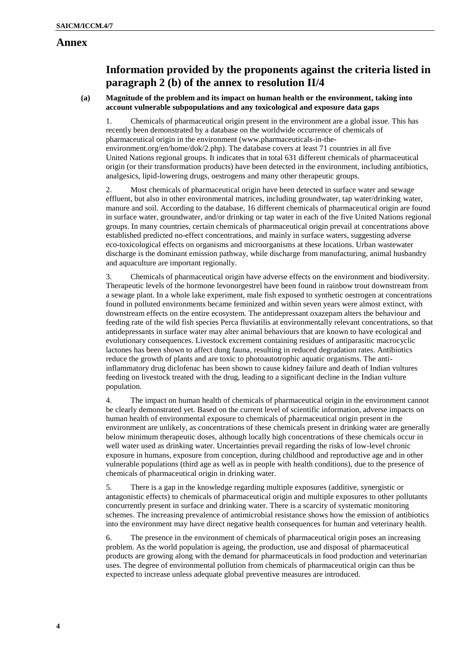### **Annex**

## **Information provided by the proponents against the criteria listed in paragraph 2 (b) of the annex to resolution II/4**

### **(a) Magnitude of the problem and its impact on human health or the environment, taking into account vulnerable subpopulations and any toxicological and exposure data gaps**

1. Chemicals of pharmaceutical origin present in the environment are a global issue. This has recently been demonstrated by a database on the worldwide occurrence of chemicals of pharmaceutical origin in the environment (www.pharmaceuticals-in-theenvironment.org/en/home/dok/2.php). The database covers at least 71 countries in all five United Nations regional groups. It indicates that in total 631 different chemicals of pharmaceutical origin (or their transformation products) have been detected in the environment, including antibiotics, analgesics, lipid-lowering drugs, oestrogens and many other therapeutic groups.

2. Most chemicals of pharmaceutical origin have been detected in surface water and sewage effluent, but also in other environmental matrices, including groundwater, tap water/drinking water, manure and soil. According to the database, 16 different chemicals of pharmaceutical origin are found in surface water, groundwater, and/or drinking or tap water in each of the five United Nations regional groups. In many countries, certain chemicals of pharmaceutical origin prevail at concentrations above established predicted no-effect concentrations, and mainly in surface waters, suggesting adverse eco-toxicological effects on organisms and microorganisms at these locations. Urban wastewater discharge is the dominant emission pathway, while discharge from manufacturing, animal husbandry and aquaculture are important regionally.

3. Chemicals of pharmaceutical origin have adverse effects on the environment and biodiversity. Therapeutic levels of the hormone levonorgestrel have been found in rainbow trout downstream from a sewage plant. In a whole lake experiment, male fish exposed to synthetic oestrogen at concentrations found in polluted environments became feminized and within seven years were almost extinct, with downstream effects on the entire ecosystem. The antidepressant oxazepam alters the behaviour and feeding rate of the wild fish species Perca fluviatilis at environmentally relevant concentrations, so that antidepressants in surface water may alter animal behaviours that are known to have ecological and evolutionary consequences. Livestock excrement containing residues of antiparasitic macrocyclic lactones has been shown to affect dung fauna, resulting in reduced degradation rates. Antibiotics reduce the growth of plants and are toxic to photoautotrophic aquatic organisms. The antiinflammatory drug diclofenac has been shown to cause kidney failure and death of Indian vultures feeding on livestock treated with the drug, leading to a significant decline in the Indian vulture population.

4. The impact on human health of chemicals of pharmaceutical origin in the environment cannot be clearly demonstrated yet. Based on the current level of scientific information, adverse impacts on human health of environmental exposure to chemicals of pharmaceutical origin present in the environment are unlikely, as concentrations of these chemicals present in drinking water are generally below minimum therapeutic doses, although locally high concentrations of these chemicals occur in well water used as drinking water. Uncertainties prevail regarding the risks of low-level chronic exposure in humans, exposure from conception, during childhood and reproductive age and in other vulnerable populations (third age as well as in people with health conditions), due to the presence of chemicals of pharmaceutical origin in drinking water.

5. There is a gap in the knowledge regarding multiple exposures (additive, synergistic or antagonistic effects) to chemicals of pharmaceutical origin and multiple exposures to other pollutants concurrently present in surface and drinking water. There is a scarcity of systematic monitoring schemes. The increasing prevalence of antimicrobial resistance shows how the emission of antibiotics into the environment may have direct negative health consequences for human and veterinary health.

6. The presence in the environment of chemicals of pharmaceutical origin poses an increasing problem. As the world population is ageing, the production, use and disposal of pharmaceutical products are growing along with the demand for pharmaceuticals in food production and veterinarian uses. The degree of environmental pollution from chemicals of pharmaceutical origin can thus be expected to increase unless adequate global preventive measures are introduced.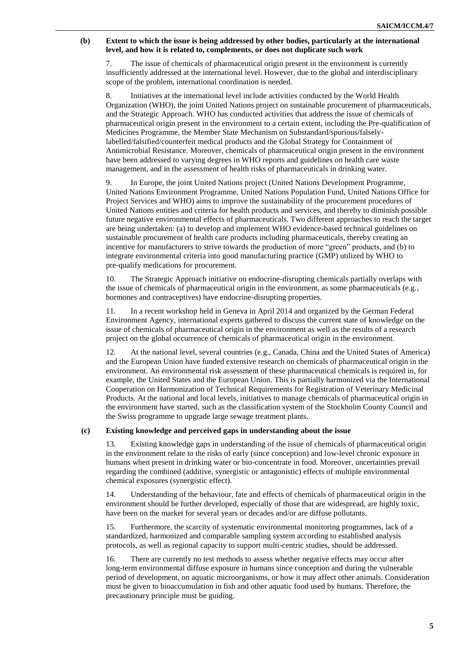#### **(b) Extent to which the issue is being addressed by other bodies, particularly at the international level, and how it is related to, complements, or does not duplicate such work**

7. The issue of chemicals of pharmaceutical origin present in the environment is currently insufficiently addressed at the international level. However, due to the global and interdisciplinary scope of the problem, international coordination is needed.

8. Initiatives at the international level include activities conducted by the World Health Organization (WHO), the joint United Nations project on sustainable procurement of pharmaceuticals, and the Strategic Approach. WHO has conducted activities that address the issue of chemicals of pharmaceutical origin present in the environment to a certain extent, including the Pre-qualification of Medicines Programme, the Member State Mechanism on Substandard/spurious/falselylabelled/falsified/counterfeit medical products and the Global Strategy for Containment of Antimicrobial Resistance. Moreover, chemicals of pharmaceutical origin present in the environment have been addressed to varying degrees in WHO reports and guidelines on health care waste management, and in the assessment of health risks of pharmaceuticals in drinking water.

9. In Europe, the joint United Nations project (United Nations Development Programme, United Nations Environment Programme, United Nations Population Fund, United Nations Office for Project Services and WHO) aims to improve the sustainability of the procurement procedures of United Nations entities and criteria for health products and services, and thereby to diminish possible future negative environmental effects of pharmaceuticals. Two different approaches to reach the target are being undertaken: (a) to develop and implement WHO evidence-based technical guidelines on sustainable procurement of health care products including pharmaceuticals, thereby creating an incentive for manufacturers to strive towards the production of more "green" products, and (b) to integrate environmental criteria into good manufacturing practice (GMP) utilized by WHO to pre-qualify medications for procurement.

10. The Strategic Approach initiative on endocrine-disrupting chemicals partially overlaps with the issue of chemicals of pharmaceutical origin in the environment, as some pharmaceuticals (e.g., hormones and contraceptives) have endocrine-disrupting properties.

11. In a recent workshop held in Geneva in April 2014 and organized by the German Federal Environment Agency, international experts gathered to discuss the current state of knowledge on the issue of chemicals of pharmaceutical origin in the environment as well as the results of a research project on the global occurrence of chemicals of pharmaceutical origin in the environment.

12. At the national level, several countries (e.g., Canada, China and the United States of America) and the European Union have funded extensive research on chemicals of pharmaceutical origin in the environment. An environmental risk assessment of these pharmaceutical chemicals is required in, for example, the United States and the European Union. This is partially harmonized via the International Cooperation on Harmonization of Technical Requirements for Registration of Veterinary Medicinal Products. At the national and local levels, initiatives to manage chemicals of pharmaceutical origin in the environment have started, such as the classification system of the Stockholm County Council and the Swiss programme to upgrade large sewage treatment plants.

#### **(c) Existing knowledge and perceived gaps in understanding about the issue**

13. Existing knowledge gaps in understanding of the issue of chemicals of pharmaceutical origin in the environment relate to the risks of early (since conception) and low-level chronic exposure in humans when present in drinking water or bio-concentrate in food. Moreover, uncertainties prevail regarding the combined (additive, synergistic or antagonistic) effects of multiple environmental chemical exposures (synergistic effect).

14. Understanding of the behaviour, fate and effects of chemicals of pharmaceutical origin in the environment should be further developed, especially of those that are widespread, are highly toxic, have been on the market for several years or decades and/or are diffuse pollutants.

15. Furthermore, the scarcity of systematic environmental monitoring programmes, lack of a standardized, harmonized and comparable sampling system according to established analysis protocols, as well as regional capacity to support multi-centric studies, should be addressed.

16. There are currently no test methods to assess whether negative effects may occur after long-term environmental diffuse exposure in humans since conception and during the vulnerable period of development, on aquatic microorganisms, or how it may affect other animals. Consideration must be given to bioaccumulation in fish and other aquatic food used by humans. Therefore, the precautionary principle must be guiding.